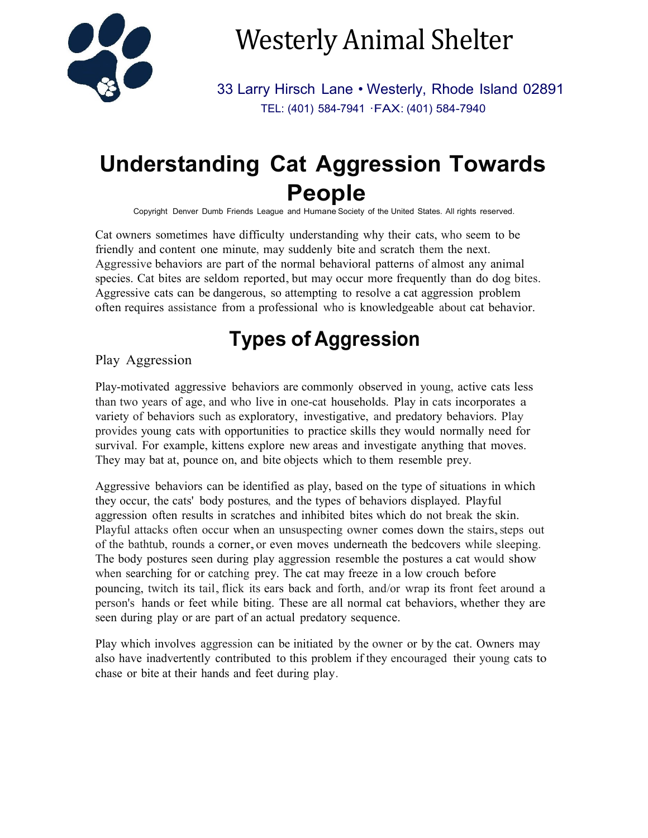

# Westerly Animal Shelter

33 Larry Hirsch Lane • Westerly, Rhode Island 02891 TEL: (401) 584-7941 ·FAX: (401) 584-7940

## **Understanding Cat Aggression Towards People**

Copyright Denver Dumb Friends League and Humane Society of the United States. All rights reserved.

Cat owners sometimes have difficulty understanding why their cats, who seem to be friendly and content one minute, may suddenly bite and scratch them the next. Aggressive behaviors are part of the normal behavioral patterns of almost any animal species. Cat bites are seldom reported, but may occur more frequently than do dog bites. Aggressive cats can be dangerous, so attempting to resolve a cat aggression problem often requires assistance from a professional who is knowledgeable about cat behavior.

## **Types of Aggression**

#### Play Aggression

Play-motivated aggressive behaviors are commonly observed in young, active cats less than two years of age, and who live in one-cat households. Play in cats incorporates a variety of behaviors such as exploratory, investigative, and predatory behaviors. Play provides young cats with opportunities to practice skills they would normally need for survival. For example, kittens explore new areas and investigate anything that moves. They may bat at, pounce on, and bite objects which to them resemble prey.

Aggressive behaviors can be identified as play, based on the type of situations in which they occur, the cats' body postures, and the types of behaviors displayed. Playful aggression often results in scratches and inhibited bites which do not break the skin. Playful attacks often occur when an unsuspecting owner comes down the stairs, steps out of the bathtub, rounds <sup>a</sup> corner,or even moves underneath the bedcovers while sleeping. The body postures seen during play aggression resemble the postures a cat would show when searching for or catching prey. The cat may freeze in a low crouch before pouncing, twitch its tail, flick its ears back and forth, and/or wrap its front feet around a person's hands or feet while biting. These are all normal cat behaviors, whether they are seen during play or are part of an actual predatory sequence.

Play which involves aggression can be initiated by the owner or by the cat. Owners may also have inadvertently contributed to this problem if they encouraged their young cats to chase or bite at their hands and feet during play.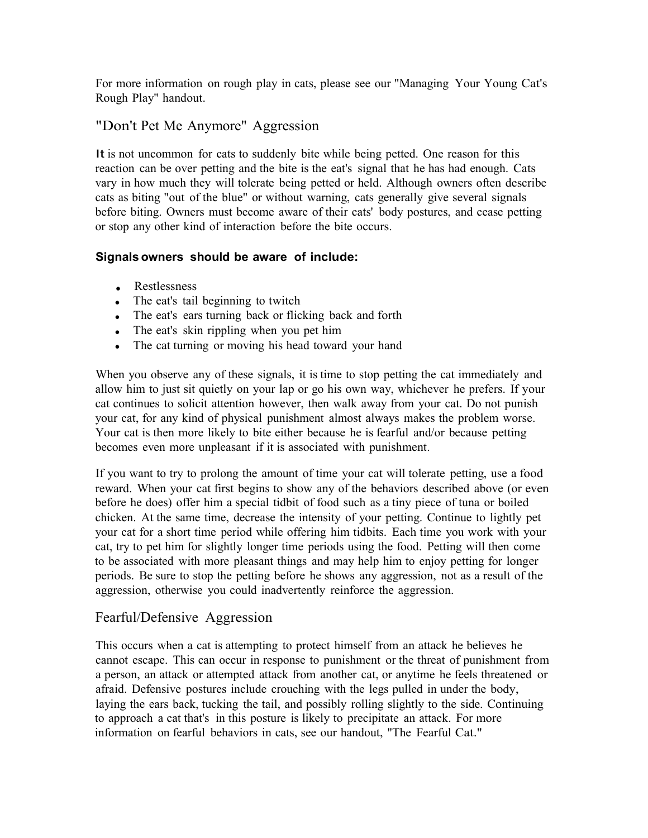For more information on rough play in cats, please see our "Managing Your Young Cat's Rough Play" handout.

#### "Don't Pet Me Anymore" Aggression

It is not uncommon for cats to suddenly bite while being petted. One reason for this reaction can be over petting and the bite is the eat's signal that he has had enough. Cats vary in how much they will tolerate being petted or held. Although owners often describe cats as biting "out of the blue" or without warning, cats generally give several signals before biting. Owners must become aware of their cats' body postures, and cease petting or stop any other kind of interaction before the bite occurs.

#### **Signals owners should be aware of include:**

- Restlessness
- The eat's tail beginning to twitch
- The eat's ears turning back or flicking back and forth
- The eat's skin rippling when you pet him
- The cat turning or moving his head toward your hand

When you observe any of these signals, it is time to stop petting the cat immediately and allow him to just sit quietly on your lap or go his own way, whichever he prefers. If your cat continues to solicit attention however, then walk away from your cat. Do not punish your cat, for any kind of physical punishment almost always makes the problem worse. Your cat is then more likely to bite either because he is fearful and/or because petting becomes even more unpleasant if it is associated with punishment.

If you want to try to prolong the amount of time your cat will tolerate petting, use a food reward. When your cat first begins to show any of the behaviors described above (or even before he does) offer him a special tidbit of food such as a tiny piece of tuna or boiled chicken. At the same time, decrease the intensity of your petting. Continue to lightly pet your cat for a short time period while offering him tidbits. Each time you work with your cat, try to pet him for slightly longer time periods using the food. Petting will then come to be associated with more pleasant things and may help him to enjoy petting for longer periods. Be sure to stop the petting before he shows any aggression, not as a result of the aggression, otherwise you could inadvertently reinforce the aggression.

#### Fearful/Defensive Aggression

This occurs when a cat is attempting to protect himself from an attack he believes he cannot escape. This can occur in response to punishment or the threat of punishment from a person, an attack or attempted attack from another cat, or anytime he feels threatened or afraid. Defensive postures include crouching with the legs pulled in under the body, laying the ears back, tucking the tail, and possibly rolling slightly to the side. Continuing to approach a cat that's in this posture is likely to precipitate an attack. For more information on fearful behaviors in cats, see our handout, "The Fearful Cat."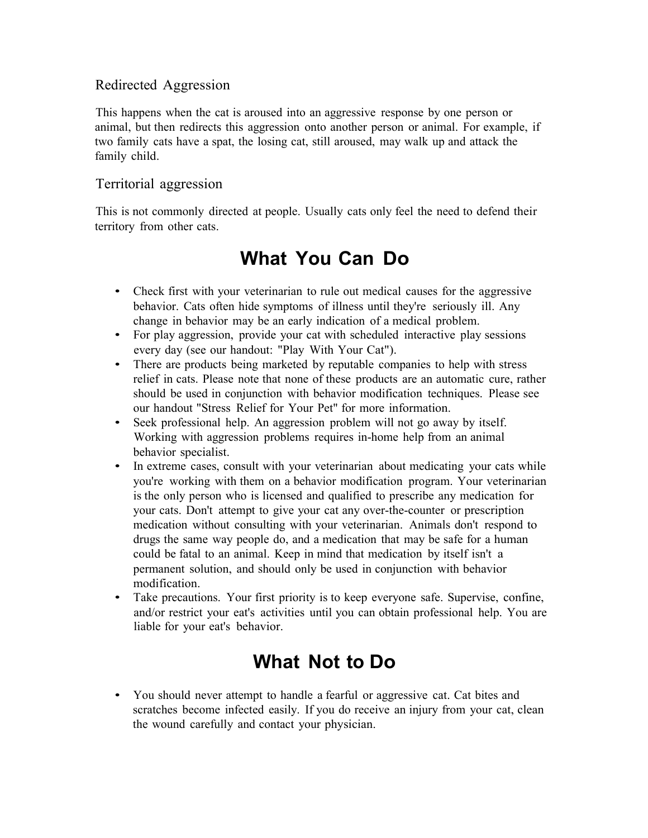#### Redirected Aggression

This happens when the cat is aroused into an aggressive response by one person or animal, but then redirects this aggression onto another person or animal. For example, if two family cats have a spat, the losing cat, still aroused, may walk up and attack the family child.

#### Territorial aggression

This is not commonly directed at people. Usually cats only feel the need to defend their territory from other cats.

### **What You Can Do**

- Check first with your veterinarian to rule out medical causes for the aggressive behavior. Cats often hide symptoms of illness until they're seriously ill. Any change in behavior may be an early indication of a medical problem.
- For play aggression, provide your cat with scheduled interactive play sessions every day (see our handout: "Play With Your Cat").
- There are products being marketed by reputable companies to help with stress relief in cats. Please note that none of these products are an automatic cure, rather should be used in conjunction with behavior modification techniques. Please see our handout "Stress Relief for Your Pet" for more information.
- Seek professional help. An aggression problem will not go away by itself. Working with aggression problems requires in-home help from an animal behavior specialist.
- In extreme cases, consult with your veterinarian about medicating your cats while you're working with them on a behavior modification program. Your veterinarian is the only person who is licensed and qualified to prescribe any medication for your cats. Don't attempt to give your cat any over-the-counter or prescription medication without consulting with your veterinarian. Animals don't respond to drugs the same way people do, and a medication that may be safe for a human could be fatal to an animal. Keep in mind that medication by itself isn't a permanent solution, and should only be used in conjunction with behavior modification.
- Take precautions. Your first priority is to keep everyone safe. Supervise, confine, and/or restrict your eat's activities until you can obtain professional help. You are liable for your eat's behavior.

### **What Not to Do**

• You should never attempt to handle a fearful or aggressive cat. Cat bites and scratches become infected easily. If you do receive an injury from your cat, clean the wound carefully and contact your physician.